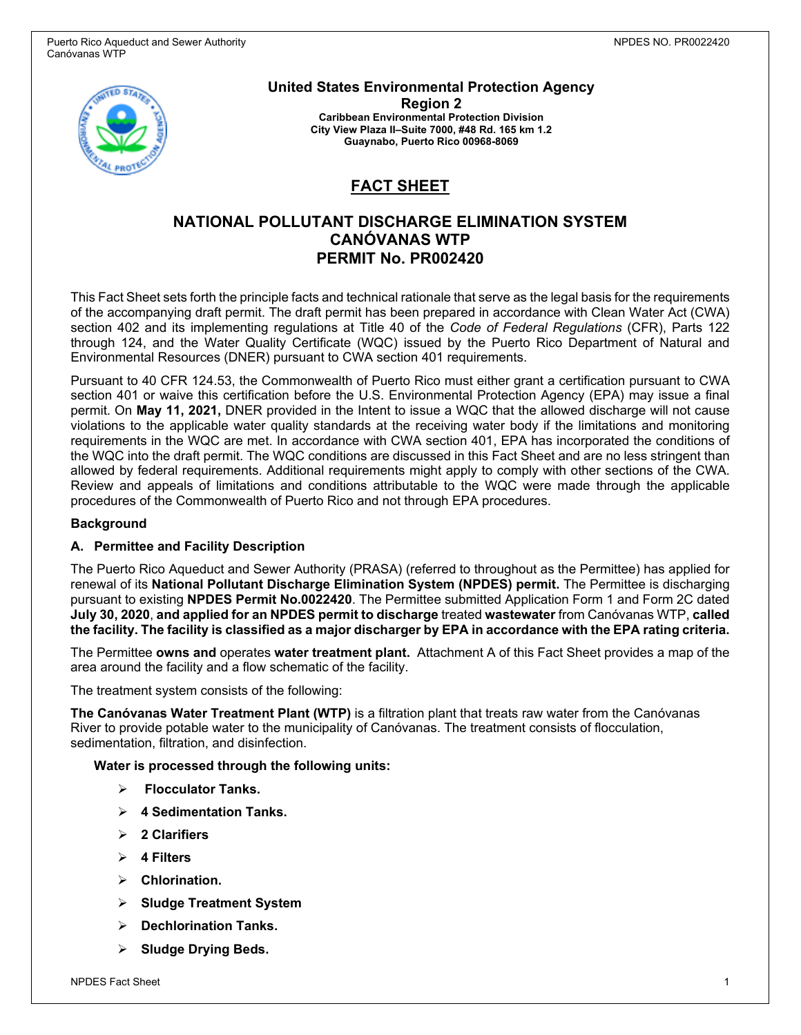

**United States Environmental Protection Agency Region 2 Caribbean Environmental Protection Division City View Plaza II–Suite 7000, #48 Rd. 165 km 1.2 Guaynabo, Puerto Rico 00968-8069**

# **FACT SHEET**

## **NATIONAL POLLUTANT DISCHARGE ELIMINATION SYSTEM CANÓVANAS WTP PERMIT No. PR002420**

This Fact Sheet sets forth the principle facts and technical rationale that serve as the legal basis for the requirements of the accompanying draft permit. The draft permit has been prepared in accordance with Clean Water Act (CWA) section 402 and its implementing regulations at Title 40 of the *Code of Federal Regulations* (CFR), Parts 122 through 124, and the Water Quality Certificate (WQC) issued by the Puerto Rico Department of Natural and Environmental Resources (DNER) pursuant to CWA section 401 requirements.

Pursuant to 40 CFR 124.53, the Commonwealth of Puerto Rico must either grant a certification pursuant to CWA section 401 or waive this certification before the U.S. Environmental Protection Agency (EPA) may issue a final permit. On **May 11, 2021,** DNER provided in the Intent to issue a WQC that the allowed discharge will not cause violations to the applicable water quality standards at the receiving water body if the limitations and monitoring requirements in the WQC are met. In accordance with CWA section 401, EPA has incorporated the conditions of the WQC into the draft permit. The WQC conditions are discussed in this Fact Sheet and are no less stringent than allowed by federal requirements. Additional requirements might apply to comply with other sections of the CWA. Review and appeals of limitations and conditions attributable to the WQC were made through the applicable procedures of the Commonwealth of Puerto Rico and not through EPA procedures.

#### **Background**

#### **A. Permittee and Facility Description**

The Puerto Rico Aqueduct and Sewer Authority (PRASA) (referred to throughout as the Permittee) has applied for renewal of its **National Pollutant Discharge Elimination System (NPDES) permit.** The Permittee is discharging pursuant to existing **NPDES Permit No.0022420**. The Permittee submitted Application Form 1 and Form 2C dated **July 30, 2020**, **and applied for an NPDES permit to discharge** treated **wastewater** from Canóvanas WTP, **called the facility. The facility is classified as a major discharger by EPA in accordance with the EPA rating criteria.**

The Permittee **owns and** operates **water treatment plant.** Attachment A of this Fact Sheet provides a map of the area around the facility and a flow schematic of the facility.

The treatment system consists of the following:

**The Canóvanas Water Treatment Plant (WTP)** is a filtration plant that treats raw water from the Canóvanas River to provide potable water to the municipality of Canóvanas. The treatment consists of flocculation, sedimentation, filtration, and disinfection.

#### **Water is processed through the following units:**

- **Flocculator Tanks.**
- **4 Sedimentation Tanks.**
- **2 Clarifiers**
- **4 Filters**
- **Chlorination.**
- **Sludge Treatment System**
- **Dechlorination Tanks.**
- **Sludge Drying Beds.**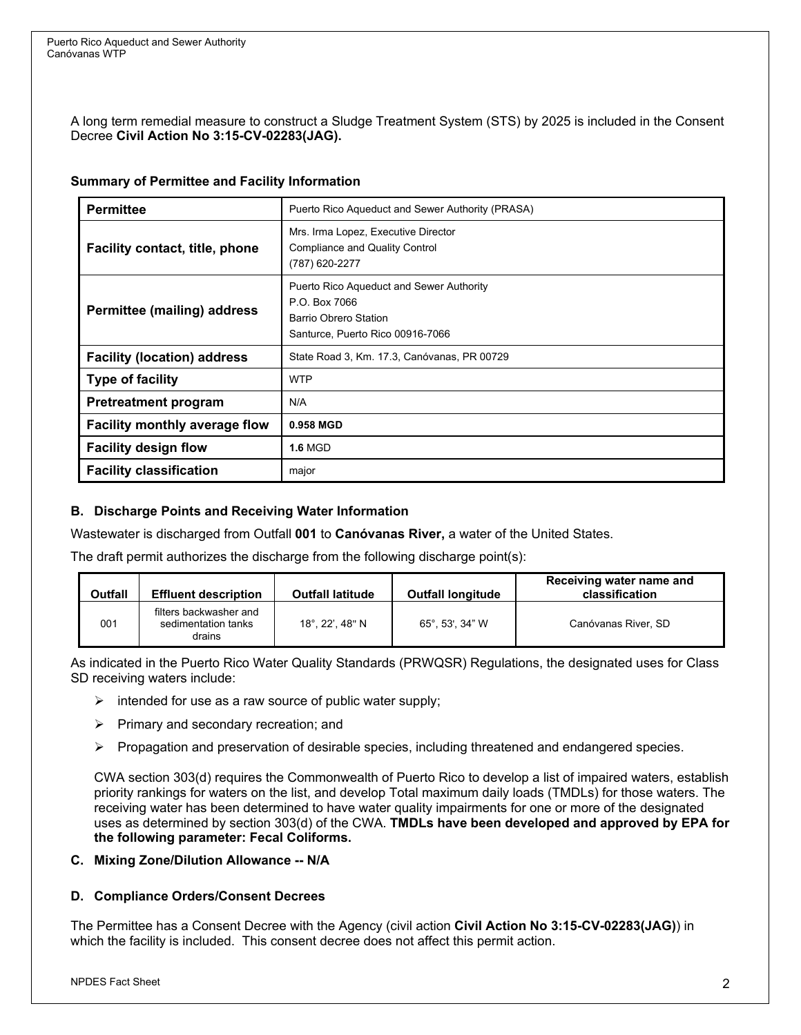A long term remedial measure to construct a Sludge Treatment System (STS) by 2025 is included in the Consent Decree **Civil Action No 3:15-CV-02283(JAG).**

#### **Summary of Permittee and Facility Information**

| <b>Permittee</b>                      | Puerto Rico Aqueduct and Sewer Authority (PRASA)                                                                              |  |  |  |
|---------------------------------------|-------------------------------------------------------------------------------------------------------------------------------|--|--|--|
| <b>Facility contact, title, phone</b> | Mrs. Irma Lopez, Executive Director<br>Compliance and Quality Control<br>(787) 620-2277                                       |  |  |  |
| <b>Permittee (mailing) address</b>    | Puerto Rico Aqueduct and Sewer Authority<br>P.O. Box 7066<br><b>Barrio Obrero Station</b><br>Santurce, Puerto Rico 00916-7066 |  |  |  |
| <b>Facility (location) address</b>    | State Road 3, Km. 17.3, Canóvanas, PR 00729                                                                                   |  |  |  |
| <b>Type of facility</b>               | <b>WTP</b>                                                                                                                    |  |  |  |
| <b>Pretreatment program</b>           | N/A                                                                                                                           |  |  |  |
| <b>Facility monthly average flow</b>  | 0.958 MGD                                                                                                                     |  |  |  |
| <b>Facility design flow</b>           | <b>1.6 MGD</b>                                                                                                                |  |  |  |
| <b>Facility classification</b>        | major                                                                                                                         |  |  |  |

## **B. Discharge Points and Receiving Water Information**

Wastewater is discharged from Outfall **001** to **Canóvanas River,** a water of the United States.

The draft permit authorizes the discharge from the following discharge point(s):

| Outfall | <b>Effluent description</b>                             | <b>Outfall latitude</b> | <b>Outfall longitude</b> | Receiving water name and<br>classification |
|---------|---------------------------------------------------------|-------------------------|--------------------------|--------------------------------------------|
| 001     | filters backwasher and<br>sedimentation tanks<br>drains | 18°, 22', 48" N         | 65°.53'.34" W            | Canóvanas River, SD                        |

As indicated in the Puerto Rico Water Quality Standards (PRWQSR) Regulations, the designated uses for Class SD receiving waters include:

- $\triangleright$  intended for use as a raw source of public water supply;
- $\triangleright$  Primary and secondary recreation; and
- $\triangleright$  Propagation and preservation of desirable species, including threatened and endangered species.

CWA section 303(d) requires the Commonwealth of Puerto Rico to develop a list of impaired waters, establish priority rankings for waters on the list, and develop Total maximum daily loads (TMDLs) for those waters. The receiving water has been determined to have water quality impairments for one or more of the designated uses as determined by section 303(d) of the CWA. **TMDLs have been developed and approved by EPA for the following parameter: Fecal Coliforms.**

#### **C. Mixing Zone/Dilution Allowance -- N/A**

#### **D. Compliance Orders/Consent Decrees**

The Permittee has a Consent Decree with the Agency (civil action **Civil Action No 3:15-CV-02283(JAG)**) in which the facility is included. This consent decree does not affect this permit action.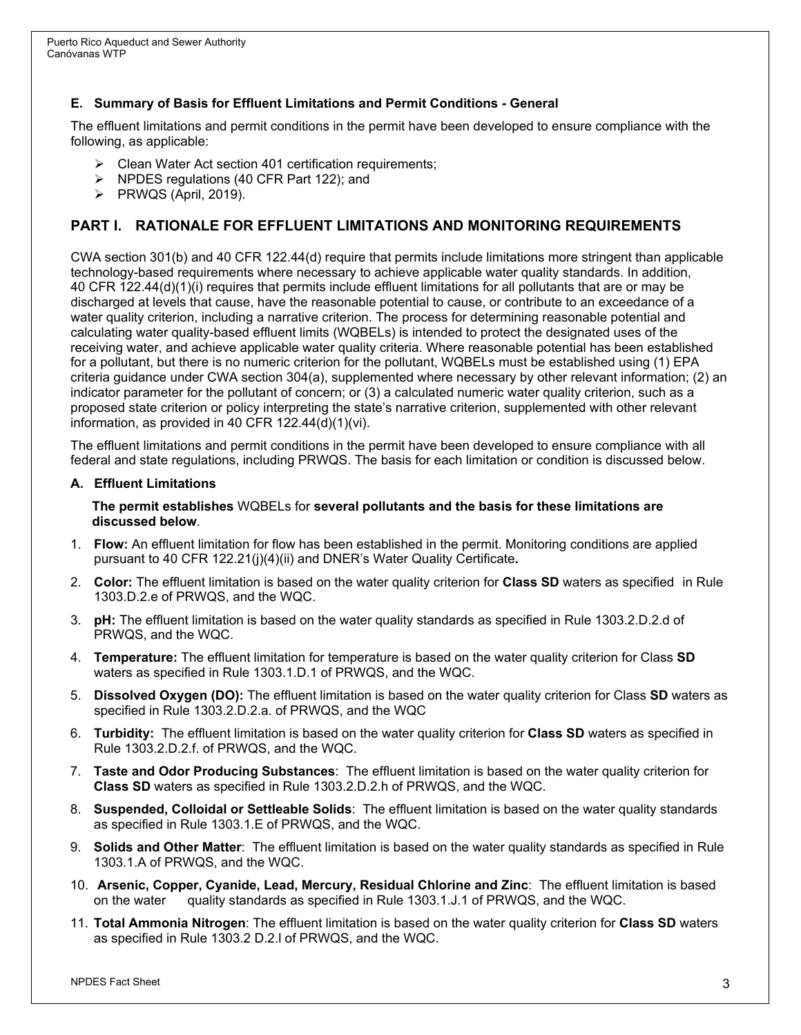#### **E. Summary of Basis for Effluent Limitations and Permit Conditions - General**

The effluent limitations and permit conditions in the permit have been developed to ensure compliance with the following, as applicable:

- $\triangleright$  Clean Water Act section 401 certification requirements;
- $\triangleright$  NPDES regulations (40 CFR Part 122); and
- $\triangleright$  PRWQS (April, 2019).

## **PART I. RATIONALE FOR EFFLUENT LIMITATIONS AND MONITORING REQUIREMENTS**

CWA section 301(b) and 40 CFR 122.44(d) require that permits include limitations more stringent than applicable technology-based requirements where necessary to achieve applicable water quality standards. In addition, 40 CFR 122.44(d)(1)(i) requires that permits include effluent limitations for all pollutants that are or may be discharged at levels that cause, have the reasonable potential to cause, or contribute to an exceedance of a water quality criterion, including a narrative criterion. The process for determining reasonable potential and calculating water quality-based effluent limits (WQBELs) is intended to protect the designated uses of the receiving water, and achieve applicable water quality criteria. Where reasonable potential has been established for a pollutant, but there is no numeric criterion for the pollutant, WQBELs must be established using (1) EPA criteria guidance under CWA section 304(a), supplemented where necessary by other relevant information; (2) an indicator parameter for the pollutant of concern; or (3) a calculated numeric water quality criterion, such as a proposed state criterion or policy interpreting the state's narrative criterion, supplemented with other relevant information, as provided in 40 CFR 122.44(d)(1)(vi).

The effluent limitations and permit conditions in the permit have been developed to ensure compliance with all federal and state regulations, including PRWQS. The basis for each limitation or condition is discussed below.

#### **A. Effluent Limitations**

#### **The permit establishes** WQBELs for **several pollutants and the basis for these limitations are discussed below**.

- 1. **Flow:** An effluent limitation for flow has been established in the permit. Monitoring conditions are applied pursuant to 40 CFR 122.21(j)(4)(ii) and DNER's Water Quality Certificate**.**
- 2. **Color:** The effluent limitation is based on the water quality criterion for **Class SD** waters as specified in Rule 1303.D.2.e of PRWQS, and the WQC.
- 3. **pH:** The effluent limitation is based on the water quality standards as specified in Rule 1303.2.D.2.d of PRWQS, and the WQC.
- 4. **Temperature:** The effluent limitation for temperature is based on the water quality criterion for Class **SD** waters as specified in Rule 1303.1.D.1 of PRWQS, and the WQC.
- 5. **Dissolved Oxygen (DO):** The effluent limitation is based on the water quality criterion for Class **SD** waters as specified in Rule 1303.2.D.2.a. of PRWQS, and the WQC
- 6. **Turbidity:** The effluent limitation is based on the water quality criterion for **Class SD** waters as specified in Rule 1303.2.D.2.f. of PRWQS, and the WQC.
- 7. **Taste and Odor Producing Substances**: The effluent limitation is based on the water quality criterion for **Class SD** waters as specified in Rule 1303.2.D.2.h of PRWQS, and the WQC.
- 8. **Suspended, Colloidal or Settleable Solids**: The effluent limitation is based on the water quality standards as specified in Rule 1303.1.E of PRWQS, and the WQC.
- 9. **Solids and Other Matter**: The effluent limitation is based on the water quality standards as specified in Rule 1303.1.A of PRWQS, and the WQC.
- 10. **Arsenic, Copper, Cyanide, Lead, Mercury, Residual Chlorine and Zinc**: The effluent limitation is based on the water quality standards as specified in Rule 1303.1.J.1 of PRWQS, and the WQC.
- 11. **Total Ammonia Nitrogen**: The effluent limitation is based on the water quality criterion for **Class SD** waters as specified in Rule 1303.2 D.2.l of PRWQS, and the WQC.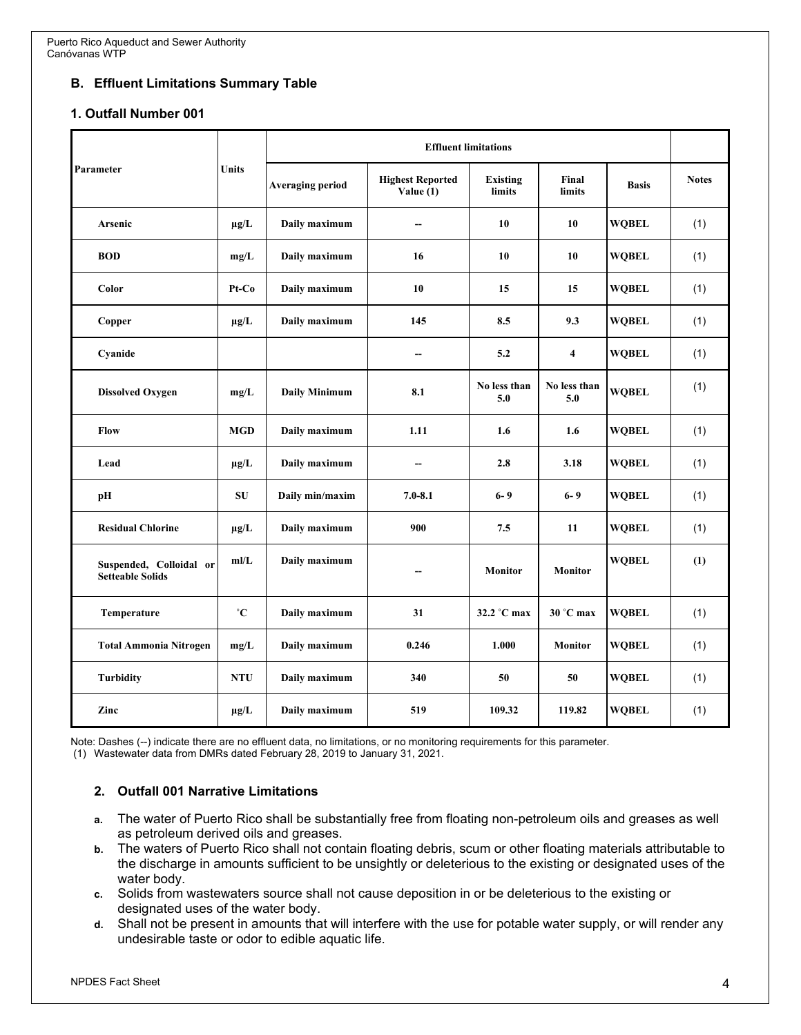## **B. Effluent Limitations Summary Table**

#### **1. Outfall Number 001**

| Parameter                                          | <b>Units</b> | <b>Effluent limitations</b> |                                        |                           |                         |              |              |
|----------------------------------------------------|--------------|-----------------------------|----------------------------------------|---------------------------|-------------------------|--------------|--------------|
|                                                    |              | <b>Averaging period</b>     | <b>Highest Reported</b><br>Value $(1)$ | <b>Existing</b><br>limits | Final<br>limits         | <b>Basis</b> | <b>Notes</b> |
| <b>Arsenic</b>                                     | $\mu$ g/L    | Daily maximum               | --                                     | 10                        | 10                      | <b>WOBEL</b> | (1)          |
| <b>BOD</b>                                         | mg/L         | Daily maximum               | 16                                     | 10                        | 10                      | <b>WOBEL</b> | (1)          |
| Color                                              | $Pt-Co$      | Daily maximum               | 10                                     | 15                        | 15                      | <b>WOBEL</b> | (1)          |
| Copper                                             | $\mu$ g/L    | Daily maximum               | 145                                    | 8.5                       | 9.3                     | <b>WOBEL</b> | (1)          |
| Cyanide                                            |              |                             | $\overline{a}$                         | 5.2                       | $\overline{\mathbf{4}}$ | <b>WOBEL</b> | (1)          |
| <b>Dissolved Oxygen</b>                            | mg/L         | <b>Daily Minimum</b>        | 8.1                                    | No less than<br>5.0       | No less than<br>5.0     | <b>WQBEL</b> | (1)          |
| Flow                                               | <b>MGD</b>   | Daily maximum               | 1.11                                   | 1.6                       | 1.6                     | <b>WQBEL</b> | (1)          |
| Lead                                               | $\mu$ g/L    | Daily maximum               | --                                     | 2.8                       | 3.18                    | <b>WOBEL</b> | (1)          |
| pH                                                 | SU           | Daily min/maxim             | $7.0 - 8.1$                            | $6 - 9$                   | $6 - 9$                 | <b>WOBEL</b> | (1)          |
| <b>Residual Chlorine</b>                           | $\mu$ g/L    | Daily maximum               | 900                                    | 7.5                       | 11                      | <b>WOBEL</b> | (1)          |
| Suspended, Colloidal or<br><b>Setteable Solids</b> | mI/L         | Daily maximum               | --                                     | <b>Monitor</b>            | <b>Monitor</b>          | <b>WOBEL</b> | (1)          |
| Temperature                                        | $^{\circ}C$  | Daily maximum               | 31                                     | 32.2 °C max               | $30^{\circ}$ C max      | <b>WOBEL</b> | (1)          |
| <b>Total Ammonia Nitrogen</b>                      | mg/L         | Daily maximum               | 0.246                                  | 1.000                     | <b>Monitor</b>          | <b>WQBEL</b> | (1)          |
| <b>Turbidity</b>                                   | <b>NTU</b>   | Daily maximum               | 340                                    | 50                        | 50                      | <b>WOBEL</b> | (1)          |
| Zinc                                               | $\mu$ g/L    | Daily maximum               | 519                                    | 109.32                    | 119.82                  | <b>WOBEL</b> | (1)          |

Note: Dashes (--) indicate there are no effluent data, no limitations, or no monitoring requirements for this parameter.

(1) Wastewater data from DMRs dated February 28, 2019 to January 31, 2021.

#### **2. Outfall 001 Narrative Limitations**

- **a.** The water of Puerto Rico shall be substantially free from floating non-petroleum oils and greases as well as petroleum derived oils and greases.
- **b.** The waters of Puerto Rico shall not contain floating debris, scum or other floating materials attributable to the discharge in amounts sufficient to be unsightly or deleterious to the existing or designated uses of the water body.
- **c.** Solids from wastewaters source shall not cause deposition in or be deleterious to the existing or designated uses of the water body.
- **d.** Shall not be present in amounts that will interfere with the use for potable water supply, or will render any undesirable taste or odor to edible aquatic life.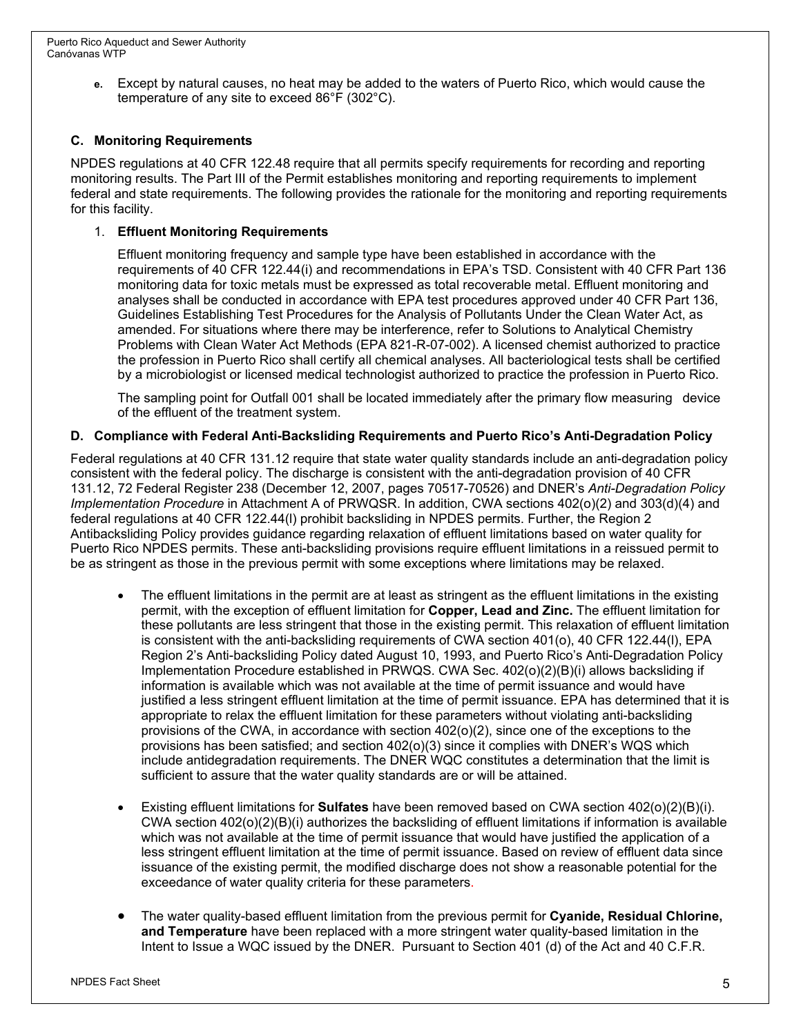**e.** Except by natural causes, no heat may be added to the waters of Puerto Rico, which would cause the temperature of any site to exceed 86°F (302°C).

### **C. Monitoring Requirements**

NPDES regulations at 40 CFR 122.48 require that all permits specify requirements for recording and reporting monitoring results. The Part III of the Permit establishes monitoring and reporting requirements to implement federal and state requirements. The following provides the rationale for the monitoring and reporting requirements for this facility.

#### 1. **Effluent Monitoring Requirements**

Effluent monitoring frequency and sample type have been established in accordance with the requirements of 40 CFR 122.44(i) and recommendations in EPA's TSD. Consistent with 40 CFR Part 136 monitoring data for toxic metals must be expressed as total recoverable metal. Effluent monitoring and analyses shall be conducted in accordance with EPA test procedures approved under 40 CFR Part 136, Guidelines Establishing Test Procedures for the Analysis of Pollutants Under the Clean Water Act, as amended. For situations where there may be interference, refer to Solutions to Analytical Chemistry Problems with Clean Water Act Methods (EPA 821-R-07-002). A licensed chemist authorized to practice the profession in Puerto Rico shall certify all chemical analyses. All bacteriological tests shall be certified by a microbiologist or licensed medical technologist authorized to practice the profession in Puerto Rico.

The sampling point for Outfall 001 shall be located immediately after the primary flow measuring device of the effluent of the treatment system.

#### **D. Compliance with Federal Anti-Backsliding Requirements and Puerto Rico's Anti-Degradation Policy**

Federal regulations at 40 CFR 131.12 require that state water quality standards include an anti-degradation policy consistent with the federal policy. The discharge is consistent with the anti-degradation provision of 40 CFR 131.12, 72 Federal Register 238 (December 12, 2007, pages 70517-70526) and DNER's *Anti-Degradation Policy Implementation Procedure* in Attachment A of PRWQSR. In addition, CWA sections 402(o)(2) and 303(d)(4) and federal regulations at 40 CFR 122.44(l) prohibit backsliding in NPDES permits. Further, the Region 2 Antibacksliding Policy provides guidance regarding relaxation of effluent limitations based on water quality for Puerto Rico NPDES permits. These anti-backsliding provisions require effluent limitations in a reissued permit to be as stringent as those in the previous permit with some exceptions where limitations may be relaxed.

- The effluent limitations in the permit are at least as stringent as the effluent limitations in the existing permit, with the exception of effluent limitation for **Copper, Lead and Zinc.** The effluent limitation for these pollutants are less stringent that those in the existing permit. This relaxation of effluent limitation is consistent with the anti-backsliding requirements of CWA section 401(o), 40 CFR 122.44(l), EPA Region 2's Anti-backsliding Policy dated August 10, 1993, and Puerto Rico's Anti-Degradation Policy Implementation Procedure established in PRWQS. CWA Sec. 402(o)(2)(B)(i) allows backsliding if information is available which was not available at the time of permit issuance and would have justified a less stringent effluent limitation at the time of permit issuance. EPA has determined that it is appropriate to relax the effluent limitation for these parameters without violating anti-backsliding provisions of the CWA, in accordance with section 402(o)(2), since one of the exceptions to the provisions has been satisfied; and section 402(o)(3) since it complies with DNER's WQS which include antidegradation requirements. The DNER WQC constitutes a determination that the limit is sufficient to assure that the water quality standards are or will be attained.
- Existing effluent limitations for **Sulfates** have been removed based on CWA section 402(o)(2)(B)(i). CWA section 402(o)(2)(B)(i) authorizes the backsliding of effluent limitations if information is available which was not available at the time of permit issuance that would have justified the application of a less stringent effluent limitation at the time of permit issuance. Based on review of effluent data since issuance of the existing permit, the modified discharge does not show a reasonable potential for the exceedance of water quality criteria for these parameters.
- The water quality-based effluent limitation from the previous permit for **Cyanide, Residual Chlorine, and Temperature** have been replaced with a more stringent water quality-based limitation in the Intent to Issue a WQC issued by the DNER. Pursuant to Section 401 (d) of the Act and 40 C.F.R.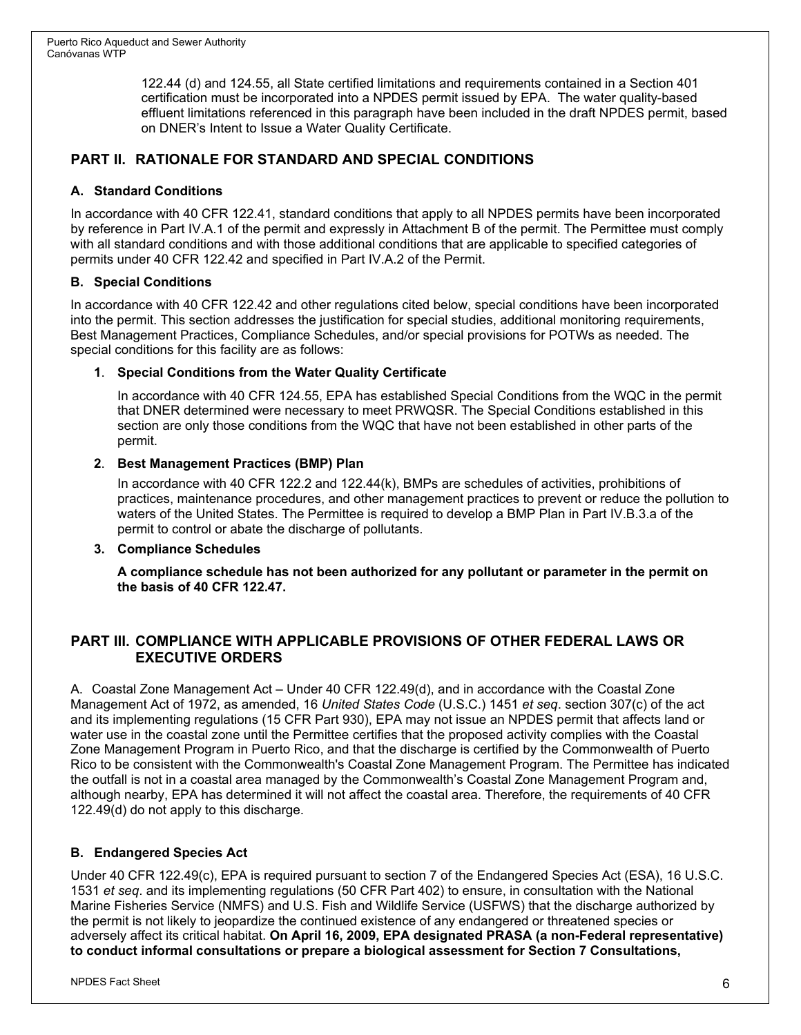122.44 (d) and 124.55, all State certified limitations and requirements contained in a Section 401 certification must be incorporated into a NPDES permit issued by EPA. The water quality-based effluent limitations referenced in this paragraph have been included in the draft NPDES permit, based on DNER's Intent to Issue a Water Quality Certificate.

## **PART II. RATIONALE FOR STANDARD AND SPECIAL CONDITIONS**

#### **A. Standard Conditions**

In accordance with 40 CFR 122.41, standard conditions that apply to all NPDES permits have been incorporated by reference in Part IV.A.1 of the permit and expressly in Attachment B of the permit. The Permittee must comply with all standard conditions and with those additional conditions that are applicable to specified categories of permits under 40 CFR 122.42 and specified in Part IV.A.2 of the Permit.

#### **B. Special Conditions**

In accordance with 40 CFR 122.42 and other regulations cited below, special conditions have been incorporated into the permit. This section addresses the justification for special studies, additional monitoring requirements, Best Management Practices, Compliance Schedules, and/or special provisions for POTWs as needed. The special conditions for this facility are as follows:

#### **1**. **Special Conditions from the Water Quality Certificate**

In accordance with 40 CFR 124.55, EPA has established Special Conditions from the WQC in the permit that DNER determined were necessary to meet PRWQSR. The Special Conditions established in this section are only those conditions from the WQC that have not been established in other parts of the permit.

#### **2**. **Best Management Practices (BMP) Plan**

In accordance with 40 CFR 122.2 and 122.44(k), BMPs are schedules of activities, prohibitions of practices, maintenance procedures, and other management practices to prevent or reduce the pollution to waters of the United States. The Permittee is required to develop a BMP Plan in Part IV.B.3.a of the permit to control or abate the discharge of pollutants.

#### **3. Compliance Schedules**

**A compliance schedule has not been authorized for any pollutant or parameter in the permit on the basis of 40 CFR 122.47.**

## **PART III. COMPLIANCE WITH APPLICABLE PROVISIONS OF OTHER FEDERAL LAWS OR EXECUTIVE ORDERS**

A. Coastal Zone Management Act – Under 40 CFR 122.49(d), and in accordance with the Coastal Zone Management Act of 1972, as amended, 16 *United States Code* (U.S.C.) 1451 *et seq*. section 307(c) of the act and its implementing regulations (15 CFR Part 930), EPA may not issue an NPDES permit that affects land or water use in the coastal zone until the Permittee certifies that the proposed activity complies with the Coastal Zone Management Program in Puerto Rico, and that the discharge is certified by the Commonwealth of Puerto Rico to be consistent with the Commonwealth's Coastal Zone Management Program. The Permittee has indicated the outfall is not in a coastal area managed by the Commonwealth's Coastal Zone Management Program and, although nearby, EPA has determined it will not affect the coastal area. Therefore, the requirements of 40 CFR 122.49(d) do not apply to this discharge.

#### **B. Endangered Species Act**

Under 40 CFR 122.49(c), EPA is required pursuant to section 7 of the Endangered Species Act (ESA), 16 U.S.C. 1531 *et seq*. and its implementing regulations (50 CFR Part 402) to ensure, in consultation with the National Marine Fisheries Service (NMFS) and U.S. Fish and Wildlife Service (USFWS) that the discharge authorized by the permit is not likely to jeopardize the continued existence of any endangered or threatened species or adversely affect its critical habitat. **On April 16, 2009, EPA designated PRASA (a non-Federal representative) to conduct informal consultations or prepare a biological assessment for Section 7 Consultations,**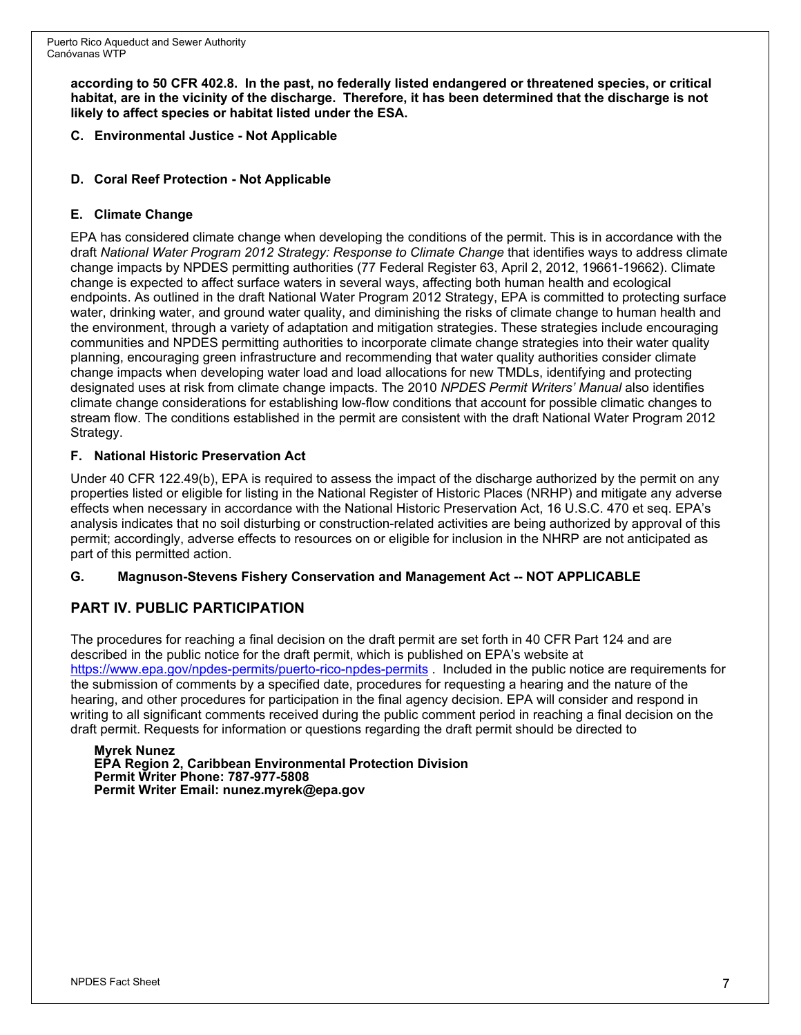**according to 50 CFR 402.8. In the past, no federally listed endangered or threatened species, or critical habitat, are in the vicinity of the discharge. Therefore, it has been determined that the discharge is not likely to affect species or habitat listed under the ESA.**

**C. Environmental Justice - Not Applicable**

## **D. Coral Reef Protection - Not Applicable**

### **E. Climate Change**

EPA has considered climate change when developing the conditions of the permit. This is in accordance with the draft *National Water Program 2012 Strategy: Response to Climate Change* that identifies ways to address climate change impacts by NPDES permitting authorities (77 Federal Register 63, April 2, 2012, 19661-19662). Climate change is expected to affect surface waters in several ways, affecting both human health and ecological endpoints. As outlined in the draft National Water Program 2012 Strategy, EPA is committed to protecting surface water, drinking water, and ground water quality, and diminishing the risks of climate change to human health and the environment, through a variety of adaptation and mitigation strategies. These strategies include encouraging communities and NPDES permitting authorities to incorporate climate change strategies into their water quality planning, encouraging green infrastructure and recommending that water quality authorities consider climate change impacts when developing water load and load allocations for new TMDLs, identifying and protecting designated uses at risk from climate change impacts. The 2010 *NPDES Permit Writers' Manual* also identifies climate change considerations for establishing low-flow conditions that account for possible climatic changes to stream flow. The conditions established in the permit are consistent with the draft National Water Program 2012 Strategy.

#### **F. National Historic Preservation Act**

Under 40 CFR 122.49(b), EPA is required to assess the impact of the discharge authorized by the permit on any properties listed or eligible for listing in the National Register of Historic Places (NRHP) and mitigate any adverse effects when necessary in accordance with the National Historic Preservation Act, 16 U.S.C. 470 et seq. EPA's analysis indicates that no soil disturbing or construction-related activities are being authorized by approval of this permit; accordingly, adverse effects to resources on or eligible for inclusion in the NHRP are not anticipated as part of this permitted action.

#### **G. Magnuson-Stevens Fishery Conservation and Management Act -- NOT APPLICABLE**

## **PART IV. PUBLIC PARTICIPATION**

The procedures for reaching a final decision on the draft permit are set forth in 40 CFR Part 124 and are described in the public notice for the draft permit, which is published on EPA's website at <https://www.epa.gov/npdes-permits/puerto-rico-npdes-permits> . Included in the public notice are requirements for the submission of comments by a specified date, procedures for requesting a hearing and the nature of the hearing, and other procedures for participation in the final agency decision. EPA will consider and respond in writing to all significant comments received during the public comment period in reaching a final decision on the draft permit. Requests for information or questions regarding the draft permit should be directed to

**Myrek Nunez EPA Region 2, Caribbean Environmental Protection Division Permit Writer Phone: 787-977-5808 Permit Writer Email: nunez.myrek@epa.gov**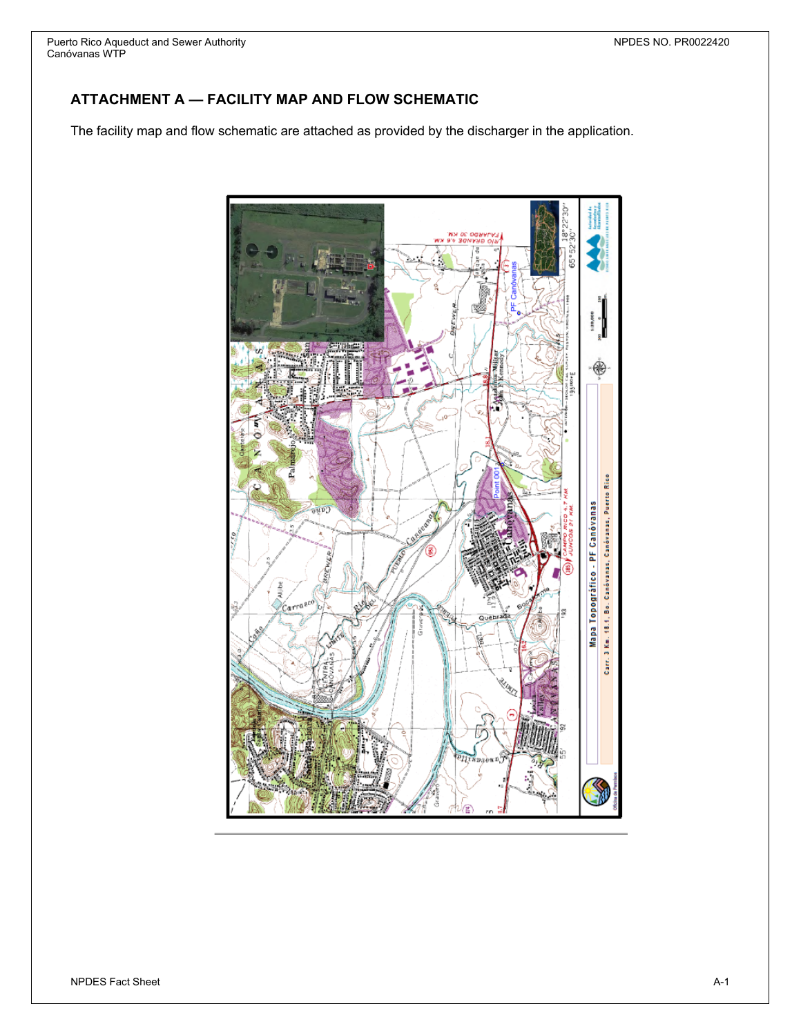Puerto Rico Aqueduct and Sewer Authority NPDES NO. PR0022420 Canóvanas WTP

## **ATTACHMENT A — FACILITY MAP AND FLOW SCHEMATIC**

The facility map and flow schematic are attached as provided by the discharger in the application.